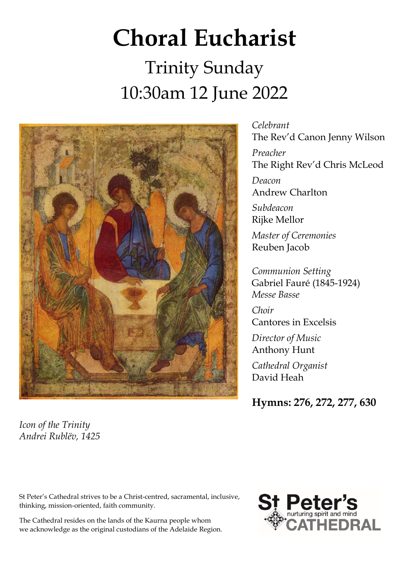# **Choral Eucharist** Trinity Sunday 10:30am 12 June 2022



*Icon of the Trinity Andrei Rublëv, 1425*

*Celebrant* The Rev'd Canon Jenny Wilson *Preacher* The Right Rev'd Chris McLeod *Deacon* Andrew Charlton *Subdeacon* Rijke Mellor *Master of Ceremonies* Reuben Jacob

*Communion Setting* Gabriel Fauré (1845-1924) *Messe Basse*

*Choir* Cantores in Excelsis

*Director of Music* Anthony Hunt

*Cathedral Organist* David Heah

**Hymns: 276, 272, 277, 630**

St Peter's Cathedral strives to be a Christ-centred, sacramental, inclusive, thinking, mission-oriented, faith community.

The Cathedral resides on the lands of the Kaurna people whom we acknowledge as the original custodians of the Adelaide Region.

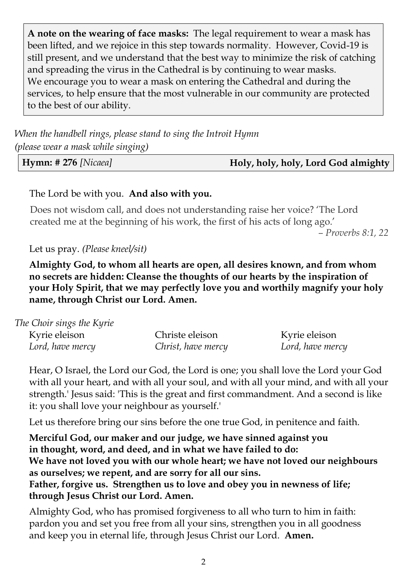**A note on the wearing of face masks:** The legal requirement to wear a mask has been lifted, and we rejoice in this step towards normality. However, Covid-19 is still present, and we understand that the best way to minimize the risk of catching and spreading the virus in the Cathedral is by continuing to wear masks. We encourage you to wear a mask on entering the Cathedral and during the services, to help ensure that the most vulnerable in our community are protected to the best of our ability.

*When the handbell rings, please stand to sing the Introit Hymn (please wear a mask while singing)*

**Hymn: # 276** *[Nicaea]* **Holy, holy, holy, Lord God almighty** 

#### The Lord be with you. **And also with you.**

Does not wisdom call, and does not understanding raise her voice? 'The Lord created me at the beginning of his work, the first of his acts of long ago.'

*– Proverbs 8:1, 22*

Let us pray. *(Please kneel/sit)*

**Almighty God, to whom all hearts are open, all desires known, and from whom no secrets are hidden: Cleanse the thoughts of our hearts by the inspiration of your Holy Spirit, that we may perfectly love you and worthily magnify your holy name, through Christ our Lord. Amen.**

| The Choir sings the Kyrie |                    |                  |
|---------------------------|--------------------|------------------|
| Kyrie eleison             | Christe eleison    | Kyrie eleison    |
| Lord, have mercy          | Christ, have mercy | Lord, have mercy |

Hear, O Israel, the Lord our God, the Lord is one; you shall love the Lord your God with all your heart, and with all your soul, and with all your mind, and with all your strength.' Jesus said: 'This is the great and first commandment. And a second is like it: you shall love your neighbour as yourself.'

Let us therefore bring our sins before the one true God, in penitence and faith.

**Merciful God, our maker and our judge, we have sinned against you in thought, word, and deed, and in what we have failed to do: We have not loved you with our whole heart; we have not loved our neighbours as ourselves; we repent, and are sorry for all our sins. Father, forgive us. Strengthen us to love and obey you in newness of life; through Jesus Christ our Lord. Amen.**

Almighty God, who has promised forgiveness to all who turn to him in faith: pardon you and set you free from all your sins, strengthen you in all goodness and keep you in eternal life, through Jesus Christ our Lord. **Amen.**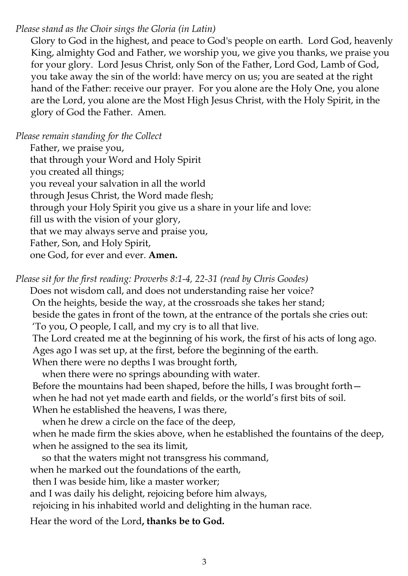# *Please stand as the Choir sings the Gloria (in Latin)*

Glory to God in the highest, and peace to God's people on earth. Lord God, heavenly King, almighty God and Father, we worship you, we give you thanks, we praise you for your glory. Lord Jesus Christ, only Son of the Father, Lord God, Lamb of God, you take away the sin of the world: have mercy on us; you are seated at the right hand of the Father: receive our prayer. For you alone are the Holy One, you alone are the Lord, you alone are the Most High Jesus Christ, with the Holy Spirit, in the glory of God the Father. Amen.

*Please remain standing for the Collect*

Father, we praise you, that through your Word and Holy Spirit you created all things; you reveal your salvation in all the world through Jesus Christ, the Word made flesh; through your Holy Spirit you give us a share in your life and love: fill us with the vision of your glory, that we may always serve and praise you, Father, Son, and Holy Spirit, one God, for ever and ever. **Amen.**

*Please sit for the first reading: Proverbs 8:1-4, 22-31 (read by Chris Goodes)*

Does not wisdom call, and does not understanding raise her voice?

On the heights, beside the way, at the crossroads she takes her stand;

beside the gates in front of the town, at the entrance of the portals she cries out:

'To you, O people, I call, and my cry is to all that live.

The Lord created me at the beginning of his work, the first of his acts of long ago. Ages ago I was set up, at the first, before the beginning of the earth.

When there were no depths I was brought forth,

when there were no springs abounding with water.

Before the mountains had been shaped, before the hills, I was brought forth when he had not yet made earth and fields, or the world's first bits of soil.

When he established the heavens, I was there,

 when he drew a circle on the face of the deep, when he made firm the skies above, when he established the fountains of the deep, when he assigned to the sea its limit,

so that the waters might not transgress his command,

when he marked out the foundations of the earth,

then I was beside him, like a master worker;

and I was daily his delight, rejoicing before him always,

rejoicing in his inhabited world and delighting in the human race.

Hear the word of the Lord**, thanks be to God.**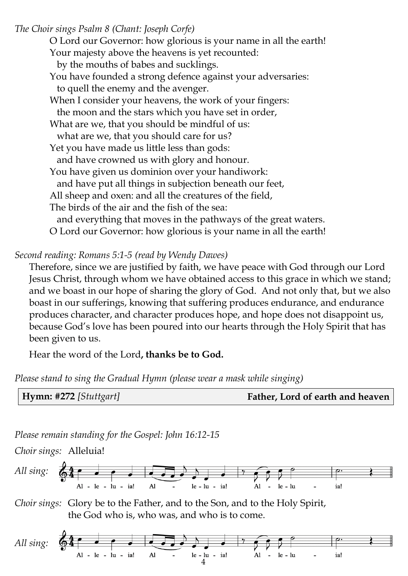*The Choir sings Psalm 8 (Chant: Joseph Corfe)*

O Lord our Governor: how glorious is your name in all the earth! Your majesty above the heavens is yet recounted: by the mouths of babes and sucklings. You have founded a strong defence against your adversaries: to quell the enemy and the avenger. When I consider your heavens, the work of your fingers: the moon and the stars which you have set in order, What are we, that you should be mindful of us: what are we, that you should care for us? Yet you have made us little less than gods: and have crowned us with glory and honour. You have given us dominion over your handiwork: and have put all things in subjection beneath our feet, All sheep and oxen: and all the creatures of the field, The birds of the air and the fish of the sea: and everything that moves in the pathways of the great waters. O Lord our Governor: how glorious is your name in all the earth!

*Second reading: Romans 5:1-5 (read by Wendy Dawes)*

Therefore, since we are justified by faith, we have peace with God through our Lord Jesus Christ, through whom we have obtained access to this grace in which we stand; and we boast in our hope of sharing the glory of God. And not only that, but we also boast in our sufferings, knowing that suffering produces endurance, and endurance produces character, and character produces hope, and hope does not disappoint us, because God's love has been poured into our hearts through the Holy Spirit that has been given to us.

Hear the word of the Lord**, thanks be to God.**

*Please stand to sing the Gradual Hymn (please wear a mask while singing)*



*Please remain standing for the Gospel: John 16:12-15*

*Choir sings:* Alleluia!



*Choir sings:* Glory be to the Father, and to the Son, and to the Holy Spirit, the God who is, who was, and who is to come.

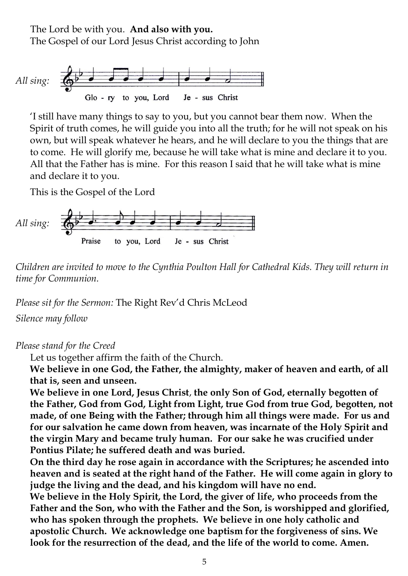The Lord be with you. **And also with you.** The Gospel of our Lord Jesus Christ according to John



'I still have many things to say to you, but you cannot bear them now. When the Spirit of truth comes, he will guide you into all the truth; for he will not speak on his own, but will speak whatever he hears, and he will declare to you the things that are to come. He will glorify me, because he will take what is mine and declare it to you. All that the Father has is mine. For this reason I said that he will take what is mine and declare it to you.

This is the Gospel of the Lord



*Children are invited to move to the Cynthia Poulton Hall for Cathedral Kids. They will return in time for Communion.*

*Please sit for the Sermon:* The Right Rev'd Chris McLeod

*Silence may follow*

#### *Please stand for the Creed*

Let us together affirm the faith of the Church.

**We believe in one God, the Father, the almighty, maker of heaven and earth, of all that is, seen and unseen.**

**We believe in one Lord, Jesus Christ**, **the only Son of God, eternally begotten of the Father, God from God, Light from Light, true God from true God, begotten, not made, of one Being with the Father; through him all things were made. For us and for our salvation he came down from heaven, was incarnate of the Holy Spirit and the virgin Mary and became truly human. For our sake he was crucified under Pontius Pilate; he suffered death and was buried.**

**On the third day he rose again in accordance with the Scriptures; he ascended into heaven and is seated at the right hand of the Father. He will come again in glory to judge the living and the dead, and his kingdom will have no end.**

**We believe in the Holy Spirit, the Lord, the giver of life, who proceeds from the Father and the Son, who with the Father and the Son, is worshipped and glorified, who has spoken through the prophets. We believe in one holy catholic and apostolic Church. We acknowledge one baptism for the forgiveness of sins. We look for the resurrection of the dead, and the life of the world to come. Amen.**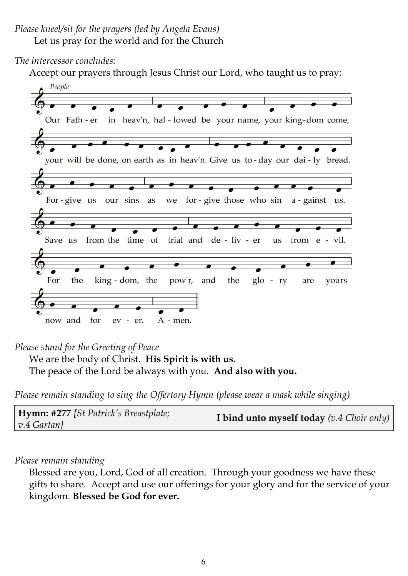#### *The intercessor concludes:*

Accept our prayers through Jesus Christ our Lord, who taught us to pray:



## *Please stand for the Greeting of Peace*

We are the body of Christ. **His Spirit is with us.** 

The peace of the Lord be always with you. **And also with you.**

*Please remain standing to sing the Offertory Hymn (please wear a mask while singing)*

### *Please remain standing*

Blessed are you, Lord, God of all creation. Through your goodness we have these gifts to share. Accept and use our offerings for your glory and for the service of your kingdom. **Blessed be God for ever.**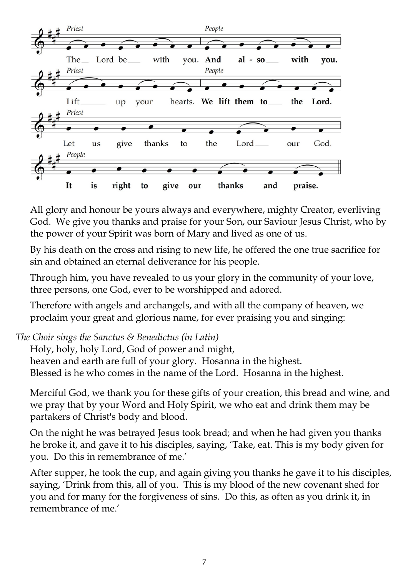

All glory and honour be yours always and everywhere, mighty Creator, everliving God. We give you thanks and praise for your Son, our Saviour Jesus Christ, who by the power of your Spirit was born of Mary and lived as one of us.

By his death on the cross and rising to new life, he offered the one true sacrifice for sin and obtained an eternal deliverance for his people.

Through him, you have revealed to us your glory in the community of your love, three persons, one God, ever to be worshipped and adored.

Therefore with angels and archangels, and with all the company of heaven, we proclaim your great and glorious name, for ever praising you and singing:

*The Choir sings the Sanctus & Benedictus (in Latin)*

Holy, holy, holy Lord, God of power and might, heaven and earth are full of your glory. Hosanna in the highest. Blessed is he who comes in the name of the Lord. Hosanna in the highest.

Merciful God, we thank you for these gifts of your creation, this bread and wine, and we pray that by your Word and Holy Spirit, we who eat and drink them may be partakers of Christ's body and blood.

On the night he was betrayed Jesus took bread; and when he had given you thanks he broke it, and gave it to his disciples, saying, 'Take, eat. This is my body given for you. Do this in remembrance of me.'

After supper, he took the cup, and again giving you thanks he gave it to his disciples, saying, 'Drink from this, all of you. This is my blood of the new covenant shed for you and for many for the forgiveness of sins. Do this, as often as you drink it, in remembrance of me.'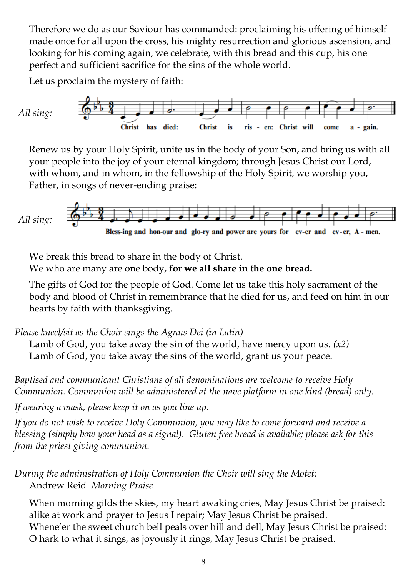Therefore we do as our Saviour has commanded: proclaiming his offering of himself made once for all upon the cross, his mighty resurrection and glorious ascension, and looking for his coming again, we celebrate, with this bread and this cup, his one perfect and sufficient sacrifice for the sins of the whole world.

Let us proclaim the mystery of faith:



Renew us by your Holy Spirit, unite us in the body of your Son, and bring us with all your people into the joy of your eternal kingdom; through Jesus Christ our Lord, with whom, and in whom, in the fellowship of the Holy Spirit, we worship you, Father, in songs of never-ending praise:



We break this bread to share in the body of Christ.

We who are many are one body, **for we all share in the one bread.**

The gifts of God for the people of God. Come let us take this holy sacrament of the body and blood of Christ in remembrance that he died for us, and feed on him in our hearts by faith with thanksgiving.

*Please kneel/sit as the Choir sings the Agnus Dei (in Latin)*

Lamb of God, you take away the sin of the world, have mercy upon us. *(x2)* Lamb of God, you take away the sins of the world, grant us your peace.

*Baptised and communicant Christians of all denominations are welcome to receive Holy Communion. Communion will be administered at the nave platform in one kind (bread) only.* 

*If wearing a mask, please keep it on as you line up.* 

*If you do not wish to receive Holy Communion, you may like to come forward and receive a blessing (simply bow your head as a signal). Gluten free bread is available; please ask for this from the priest giving communion.*

*During the administration of Holy Communion the Choir will sing the Motet:*  Andrew Reid *Morning Praise*

When morning gilds the skies, my heart awaking cries, May Jesus Christ be praised: alike at work and prayer to Jesus I repair; May Jesus Christ be praised.

Whene'er the sweet church bell peals over hill and dell, May Jesus Christ be praised: O hark to what it sings, as joyously it rings, May Jesus Christ be praised.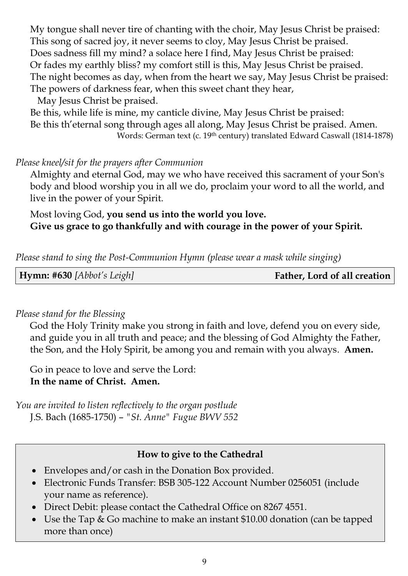My tongue shall never tire of chanting with the choir, May Jesus Christ be praised: This song of sacred joy, it never seems to cloy, May Jesus Christ be praised. Does sadness fill my mind? a solace here I find, May Jesus Christ be praised: Or fades my earthly bliss? my comfort still is this, May Jesus Christ be praised. The night becomes as day, when from the heart we say, May Jesus Christ be praised: The powers of darkness fear, when this sweet chant they hear,

May Jesus Christ be praised.

Be this, while life is mine, my canticle divine, May Jesus Christ be praised: Be this th'eternal song through ages all along, May Jesus Christ be praised. Amen. Words: German text (c. 19th century) translated Edward Caswall (1814-1878)

## *Please kneel/sit for the prayers after Communion*

Almighty and eternal God, may we who have received this sacrament of your Son's body and blood worship you in all we do, proclaim your word to all the world, and live in the power of your Spirit.

Most loving God, **you send us into the world you love. Give us grace to go thankfully and with courage in the power of your Spirit.**

*Please stand to sing the Post-Communion Hymn (please wear a mask while singing)*

| <b>Hymn:</b> #630 [Abbot's Leigh] | Father, Lord of all creation |
|-----------------------------------|------------------------------|
|-----------------------------------|------------------------------|

### *Please stand for the Blessing*

God the Holy Trinity make you strong in faith and love, defend you on every side, and guide you in all truth and peace; and the blessing of God Almighty the Father, the Son, and the Holy Spirit, be among you and remain with you always. **Amen.** 

Go in peace to love and serve the Lord: **In the name of Christ. Amen.** 

*You are invited to listen reflectively to the organ postlude* J.S. Bach (1685-1750) – *"St. Anne" Fugue BWV 552*

# **How to give to the Cathedral**

- Envelopes and/or cash in the Donation Box provided.
- Electronic Funds Transfer: BSB 305-122 Account Number 0256051 (include your name as reference).
- Direct Debit: please contact the Cathedral Office on 82674551.
- Use the Tap & Go machine to make an instant \$10.00 donation (can be tapped more than once)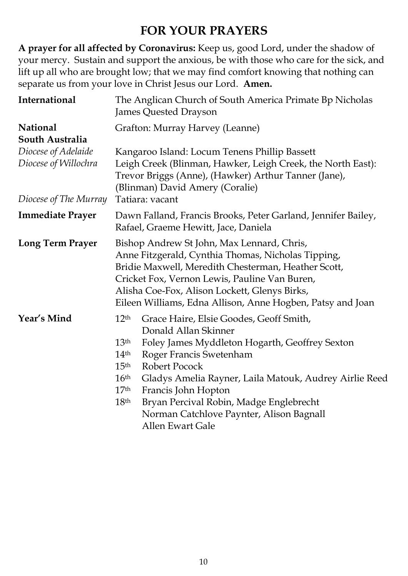# **FOR YOUR PRAYERS**

**A prayer for all affected by Coronavirus:** Keep us, good Lord, under the shadow of your mercy. Sustain and support the anxious, be with those who care for the sick, and lift up all who are brought low; that we may find comfort knowing that nothing can separate us from your love in Christ Jesus our Lord. **Amen.**

| International                                                        | The Anglican Church of South America Primate Bp Nicholas<br>James Quested Drayson                                                                                                                                                                                                                                                                                                                                                                                                                                   |  |  |
|----------------------------------------------------------------------|---------------------------------------------------------------------------------------------------------------------------------------------------------------------------------------------------------------------------------------------------------------------------------------------------------------------------------------------------------------------------------------------------------------------------------------------------------------------------------------------------------------------|--|--|
| <b>National</b><br>South Australia                                   | Grafton: Murray Harvey (Leanne)                                                                                                                                                                                                                                                                                                                                                                                                                                                                                     |  |  |
| Diocese of Adelaide<br>Diocese of Willochra<br>Diocese of The Murray | Kangaroo Island: Locum Tenens Phillip Bassett<br>Leigh Creek (Blinman, Hawker, Leigh Creek, the North East):<br>Trevor Briggs (Anne), (Hawker) Arthur Tanner (Jane),<br>(Blinman) David Amery (Coralie)<br>Tatiara: vacant                                                                                                                                                                                                                                                                                          |  |  |
| <b>Immediate Prayer</b>                                              | Dawn Falland, Francis Brooks, Peter Garland, Jennifer Bailey,<br>Rafael, Graeme Hewitt, Jace, Daniela                                                                                                                                                                                                                                                                                                                                                                                                               |  |  |
| <b>Long Term Prayer</b>                                              | Bishop Andrew St John, Max Lennard, Chris,<br>Anne Fitzgerald, Cynthia Thomas, Nicholas Tipping,<br>Bridie Maxwell, Meredith Chesterman, Heather Scott,<br>Cricket Fox, Vernon Lewis, Pauline Van Buren,<br>Alisha Coe-Fox, Alison Lockett, Glenys Birks,<br>Eileen Williams, Edna Allison, Anne Hogben, Patsy and Joan                                                                                                                                                                                             |  |  |
| Year's Mind                                                          | 12 <sup>th</sup><br>Grace Haire, Elsie Goodes, Geoff Smith,<br>Donald Allan Skinner<br>13 <sup>th</sup><br>Foley James Myddleton Hogarth, Geoffrey Sexton<br>Roger Francis Swetenham<br>14 <sup>th</sup><br>15 <sup>th</sup><br><b>Robert Pocock</b><br>16 <sup>th</sup><br>Gladys Amelia Rayner, Laila Matouk, Audrey Airlie Reed<br>17 <sup>th</sup><br>Francis John Hopton<br>Bryan Percival Robin, Madge Englebrecht<br>18 <sup>th</sup><br>Norman Catchlove Paynter, Alison Bagnall<br><b>Allen Ewart Gale</b> |  |  |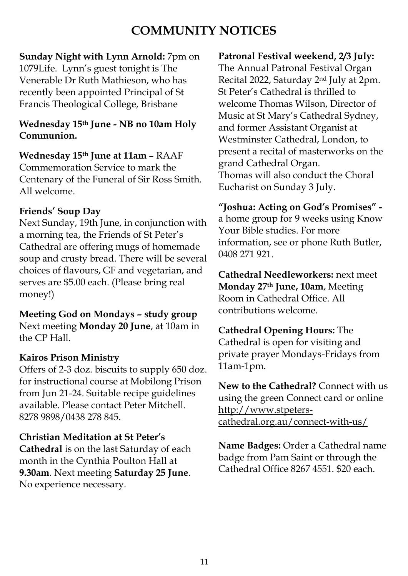# **COMMUNITY NOTICES**

# **Sunday Night with Lynn Arnold:** 7pm on

1079Life. Lynn's guest tonight is The Venerable Dr Ruth Mathieson, who has recently been appointed Principal of St Francis Theological College, Brisbane

# **Wednesday 15th June - NB no 10am Holy Communion.**

**Wednesday 15th June at 11am** – RAAF Commemoration Service to mark the Centenary of the Funeral of Sir Ross Smith. All welcome.

# **Friends' Soup Day**

Next Sunday, 19th June, in conjunction with a morning tea, the Friends of St Peter's Cathedral are offering mugs of homemade soup and crusty bread. There will be several choices of flavours, GF and vegetarian, and serves are \$5.00 each. (Please bring real money!)

**Meeting God on Mondays – study group** Next meeting **Monday 20 June**, at 10am in the CP Hall.

# **Kairos Prison Ministry**

Offers of 2-3 doz. biscuits to supply 650 doz. for instructional course at Mobilong Prison from Jun 21-24. Suitable recipe guidelines available. Please contact Peter Mitchell. 8278 9898/0438 278 845.

# **Christian Meditation at St Peter's**

**Cathedral** is on the last Saturday of each month in the Cynthia Poulton Hall at **9.30am**. Next meeting **Saturday 25 June**. No experience necessary.

# **Patronal Festival weekend, 2/3 July:**

The Annual Patronal Festival Organ Recital 2022, Saturday 2nd July at 2pm. St Peter's Cathedral is thrilled to welcome Thomas Wilson, Director of Music at St Mary's Cathedral Sydney, and former Assistant Organist at Westminster Cathedral, London, to present a recital of masterworks on the grand Cathedral Organ. Thomas will also conduct the Choral Eucharist on Sunday 3 July.

# **"Joshua: Acting on God's Promises" -**

a home group for 9 weeks using Know Your Bible studies. For more information, see or phone Ruth Butler, 0408 271 921.

**Cathedral Needleworkers:** next meet **Monday 27th June, 10am**, Meeting Room in Cathedral Office. All contributions welcome.

**Cathedral Opening Hours:** The Cathedral is open for visiting and private prayer Mondays-Fridays from 11am-1pm.

**New to the Cathedral?** Connect with us using the green Connect card or online [http://www.stpeters](http://www.stpeters-cathedral.org.au/connect-with-us/)[cathedral.org.au/connect-with-us/](http://www.stpeters-cathedral.org.au/connect-with-us/)

**Name Badges:** Order a Cathedral name badge from Pam Saint or through the Cathedral Office 8267 4551. \$20 each.